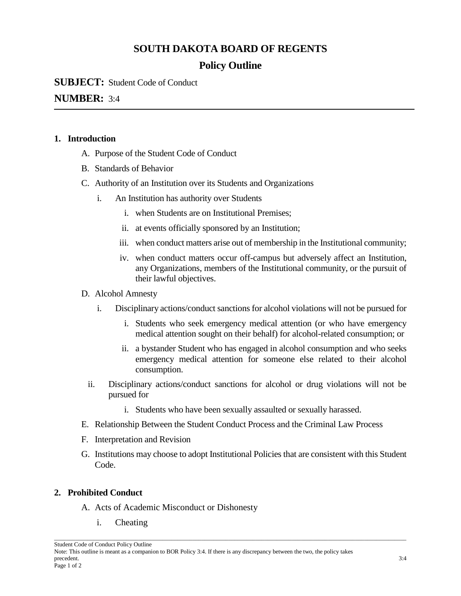## **SOUTH DAKOTA BOARD OF REGENTS**

# **Policy Outline**

**SUBJECT:** Student Code of Conduct

### **NUMBER:** 3:4

#### **1. Introduction**

- A. Purpose of the Student Code of Conduct
- B. Standards of Behavior
- C. Authority of an Institution over its Students and Organizations
	- i. An Institution has authority over Students
		- i. when Students are on Institutional Premises;
		- ii. at events officially sponsored by an Institution;
		- iii. when conduct matters arise out of membership in the Institutional community;
		- iv. when conduct matters occur off-campus but adversely affect an Institution, any Organizations, members of the Institutional community, or the pursuit of their lawful objectives.
- D. Alcohol Amnesty
	- i. Disciplinary actions/conduct sanctions for alcohol violations will not be pursued for
		- i. Students who seek emergency medical attention (or who have emergency medical attention sought on their behalf) for alcohol-related consumption; or
		- ii. a bystander Student who has engaged in alcohol consumption and who seeks emergency medical attention for someone else related to their alcohol consumption.
	- ii. Disciplinary actions/conduct sanctions for alcohol or drug violations will not be pursued for
		- i. Students who have been sexually assaulted or sexually harassed.
- E. Relationship Between the Student Conduct Process and the Criminal Law Process

\_\_\_\_\_\_\_\_\_\_\_\_\_\_\_\_\_\_\_\_\_\_\_\_\_\_\_\_\_\_\_\_\_\_\_\_\_\_\_\_\_\_\_\_\_\_\_\_\_\_\_\_\_\_\_\_\_\_\_\_\_\_\_\_\_\_\_\_\_\_\_\_\_\_\_\_\_\_\_\_\_\_\_\_\_\_\_\_\_\_\_\_\_\_\_\_\_\_\_\_\_\_\_\_\_\_\_\_\_\_\_\_\_\_\_\_\_

- F. Interpretation and Revision
- G. Institutions may choose to adopt Institutional Policies that are consistent with this Student Code.

#### **2. Prohibited Conduct**

- A. Acts of Academic Misconduct or Dishonesty
	- i. Cheating